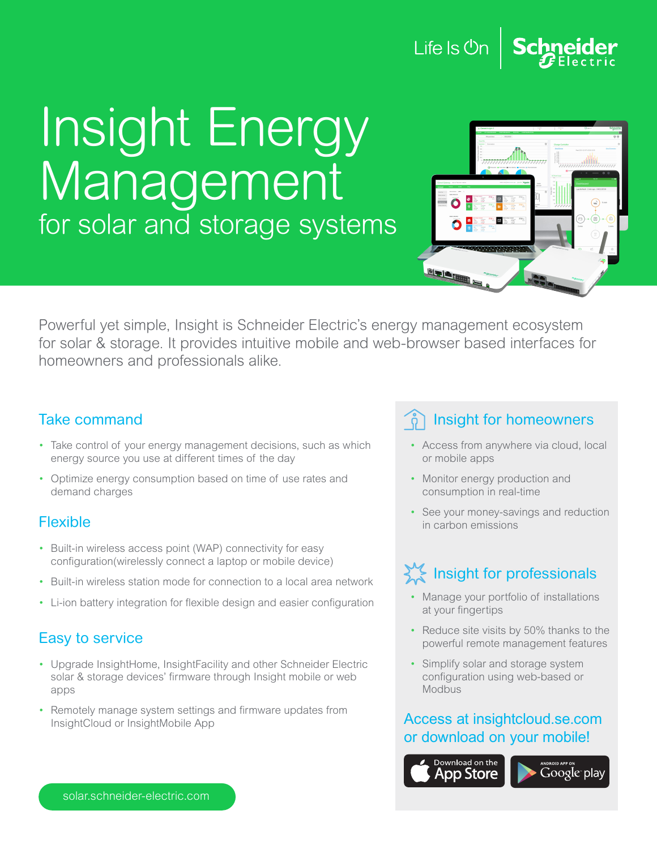### Life Is Un

## Insight Energy Management for solar and storage systems



Powerful yet simple, Insight is Schneider Electric's energy management ecosystem for solar & storage. It provides intuitive mobile and web-browser based interfaces for homeowners and professionals alike.

#### Take command

- Take control of your energy management decisions, such as which energy source you use at different times of the day
- Optimize energy consumption based on time of use rates and demand charges

#### Flexible

- Built-in wireless access point (WAP) connectivity for easy configuration(wirelessly connect a laptop or mobile device)
- Built-in wireless station mode for connection to a local area network
- Li-ion battery integration for flexible design and easier configuration

#### Easy to service

- Upgrade InsightHome, InsightFacility and other Schneider Electric solar & storage devices' firmware through Insight mobile or web apps
- Remotely manage system settings and firmware updates from InsightCloud or InsightMobile App

#### Insight for homeowners

- Access from anywhere via cloud, local or mobile apps
- Monitor energy production and consumption in real-time
- See your money-savings and reduction in carbon emissions

### Insight for professionals

- Manage your portfolio of installations at your fingertips
- Reduce site visits by 50% thanks to the powerful remote management features
- Simplify solar and storage system configuration using web-based or Modbus

#### Access at insightcloud.se.com or download on your mobile!

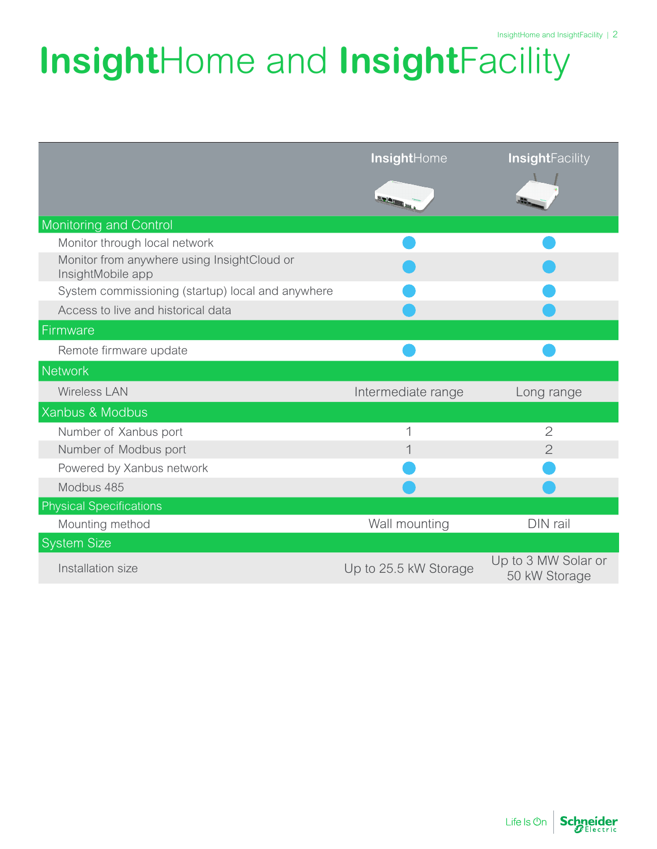# **Insight**Home and **Insight**Facility

|                                                                  | InsightHome           | <b>InsightFacility</b>               |
|------------------------------------------------------------------|-----------------------|--------------------------------------|
|                                                                  |                       |                                      |
| Monitoring and Control                                           |                       |                                      |
| Monitor through local network                                    |                       |                                      |
| Monitor from anywhere using InsightCloud or<br>InsightMobile app |                       |                                      |
| System commissioning (startup) local and anywhere                |                       |                                      |
| Access to live and historical data                               |                       |                                      |
| Firmware                                                         |                       |                                      |
| Remote firmware update                                           |                       |                                      |
| <b>Network</b>                                                   |                       |                                      |
| <b>Wireless LAN</b>                                              | Intermediate range    | Long range                           |
| Xanbus & Modbus                                                  |                       |                                      |
| Number of Xanbus port                                            |                       | $\overline{2}$                       |
| Number of Modbus port                                            |                       | $\overline{2}$                       |
| Powered by Xanbus network                                        |                       |                                      |
| Modbus 485                                                       |                       |                                      |
| <b>Physical Specifications</b>                                   |                       |                                      |
| Mounting method                                                  | Wall mounting         | DIN rail                             |
| <b>System Size</b>                                               |                       |                                      |
| Installation size                                                | Up to 25.5 kW Storage | Up to 3 MW Solar or<br>50 kW Storage |